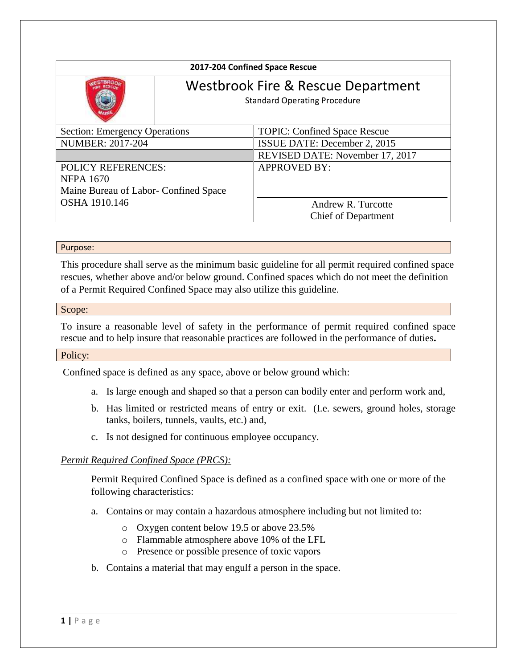| 2017-204 Confined Space Rescue                                             |                                                                           |                                     |
|----------------------------------------------------------------------------|---------------------------------------------------------------------------|-------------------------------------|
|                                                                            | Westbrook Fire & Rescue Department<br><b>Standard Operating Procedure</b> |                                     |
| <b>Section: Emergency Operations</b>                                       |                                                                           | <b>TOPIC: Confined Space Rescue</b> |
| <b>NUMBER: 2017-204</b>                                                    |                                                                           | ISSUE DATE: December 2, 2015        |
|                                                                            |                                                                           | REVISED DATE: November 17, 2017     |
| <b>POLICY REFERENCES:</b>                                                  |                                                                           | <b>APPROVED BY:</b>                 |
| <b>NFPA 1670</b><br>Maine Bureau of Labor- Confined Space<br>OSHA 1910.146 |                                                                           |                                     |
|                                                                            |                                                                           | Andrew R. Turcotte                  |
|                                                                            |                                                                           | <b>Chief of Department</b>          |

#### Purpose:

This procedure shall serve as the minimum basic guideline for all permit required confined space rescues, whether above and/or below ground. Confined spaces which do not meet the definition of a Permit Required Confined Space may also utilize this guideline.

#### Scope:

To insure a reasonable level of safety in the performance of permit required confined space rescue and to help insure that reasonable practices are followed in the performance of duties**.**

#### Policy:

Confined space is defined as any space, above or below ground which:

- a. Is large enough and shaped so that a person can bodily enter and perform work and,
- b. Has limited or restricted means of entry or exit. (I.e. sewers, ground holes, storage tanks, boilers, tunnels, vaults, etc.) and,
- c. Is not designed for continuous employee occupancy.

### *Permit Required Confined Space (PRCS):*

Permit Required Confined Space is defined as a confined space with one or more of the following characteristics:

- a. Contains or may contain a hazardous atmosphere including but not limited to:
	- o Oxygen content below 19.5 or above 23.5%
	- o Flammable atmosphere above 10% of the LFL
	- o Presence or possible presence of toxic vapors
- b. Contains a material that may engulf a person in the space.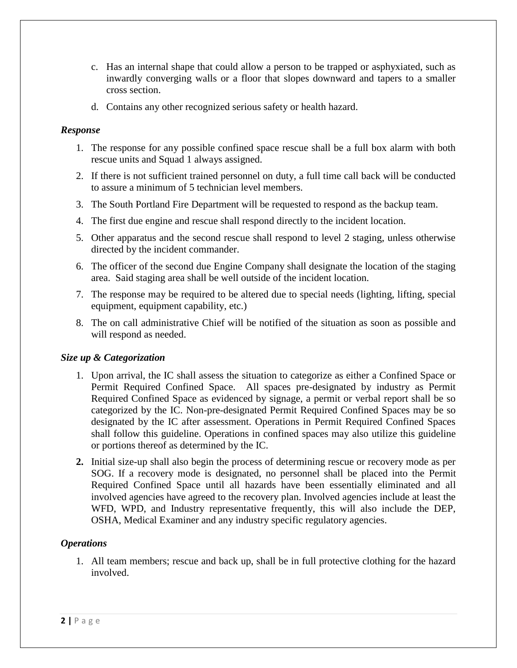- c. Has an internal shape that could allow a person to be trapped or asphyxiated, such as inwardly converging walls or a floor that slopes downward and tapers to a smaller cross section.
- d. Contains any other recognized serious safety or health hazard.

## *Response*

- 1. The response for any possible confined space rescue shall be a full box alarm with both rescue units and Squad 1 always assigned.
- 2. If there is not sufficient trained personnel on duty, a full time call back will be conducted to assure a minimum of 5 technician level members.
- 3. The South Portland Fire Department will be requested to respond as the backup team.
- 4. The first due engine and rescue shall respond directly to the incident location.
- 5. Other apparatus and the second rescue shall respond to level 2 staging, unless otherwise directed by the incident commander.
- 6. The officer of the second due Engine Company shall designate the location of the staging area. Said staging area shall be well outside of the incident location.
- 7. The response may be required to be altered due to special needs (lighting, lifting, special equipment, equipment capability, etc.)
- 8. The on call administrative Chief will be notified of the situation as soon as possible and will respond as needed.

# *Size up & Categorization*

- 1. Upon arrival, the IC shall assess the situation to categorize as either a Confined Space or Permit Required Confined Space. All spaces pre-designated by industry as Permit Required Confined Space as evidenced by signage, a permit or verbal report shall be so categorized by the IC. Non-pre-designated Permit Required Confined Spaces may be so designated by the IC after assessment. Operations in Permit Required Confined Spaces shall follow this guideline. Operations in confined spaces may also utilize this guideline or portions thereof as determined by the IC.
- **2.** Initial size-up shall also begin the process of determining rescue or recovery mode as per SOG. If a recovery mode is designated, no personnel shall be placed into the Permit Required Confined Space until all hazards have been essentially eliminated and all involved agencies have agreed to the recovery plan. Involved agencies include at least the WFD, WPD, and Industry representative frequently, this will also include the DEP, OSHA, Medical Examiner and any industry specific regulatory agencies.

# *Operations*

1. All team members; rescue and back up, shall be in full protective clothing for the hazard involved.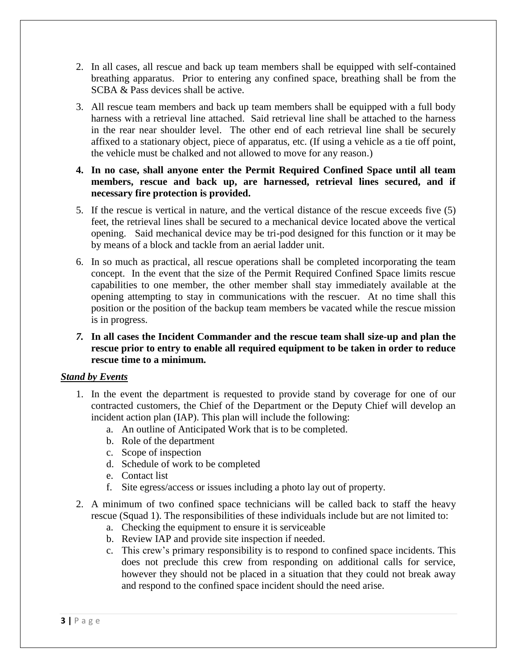- 2. In all cases, all rescue and back up team members shall be equipped with self-contained breathing apparatus. Prior to entering any confined space, breathing shall be from the SCBA & Pass devices shall be active.
- 3. All rescue team members and back up team members shall be equipped with a full body harness with a retrieval line attached. Said retrieval line shall be attached to the harness in the rear near shoulder level. The other end of each retrieval line shall be securely affixed to a stationary object, piece of apparatus, etc. (If using a vehicle as a tie off point, the vehicle must be chalked and not allowed to move for any reason.)
- **4. In no case, shall anyone enter the Permit Required Confined Space until all team members, rescue and back up, are harnessed, retrieval lines secured, and if necessary fire protection is provided.**
- 5. If the rescue is vertical in nature, and the vertical distance of the rescue exceeds five (5) feet, the retrieval lines shall be secured to a mechanical device located above the vertical opening. Said mechanical device may be tri-pod designed for this function or it may be by means of a block and tackle from an aerial ladder unit.
- 6. In so much as practical, all rescue operations shall be completed incorporating the team concept. In the event that the size of the Permit Required Confined Space limits rescue capabilities to one member, the other member shall stay immediately available at the opening attempting to stay in communications with the rescuer. At no time shall this position or the position of the backup team members be vacated while the rescue mission is in progress.
- *7.* **In all cases the Incident Commander and the rescue team shall size-up and plan the rescue prior to entry to enable all required equipment to be taken in order to reduce rescue time to a minimum.**

### *Stand by Events*

- 1. In the event the department is requested to provide stand by coverage for one of our contracted customers, the Chief of the Department or the Deputy Chief will develop an incident action plan (IAP). This plan will include the following:
	- a. An outline of Anticipated Work that is to be completed.
	- b. Role of the department
	- c. Scope of inspection
	- d. Schedule of work to be completed
	- e. Contact list
	- f. Site egress/access or issues including a photo lay out of property.
- 2. A minimum of two confined space technicians will be called back to staff the heavy rescue (Squad 1). The responsibilities of these individuals include but are not limited to:
	- a. Checking the equipment to ensure it is serviceable
	- b. Review IAP and provide site inspection if needed.
	- c. This crew's primary responsibility is to respond to confined space incidents. This does not preclude this crew from responding on additional calls for service, however they should not be placed in a situation that they could not break away and respond to the confined space incident should the need arise.